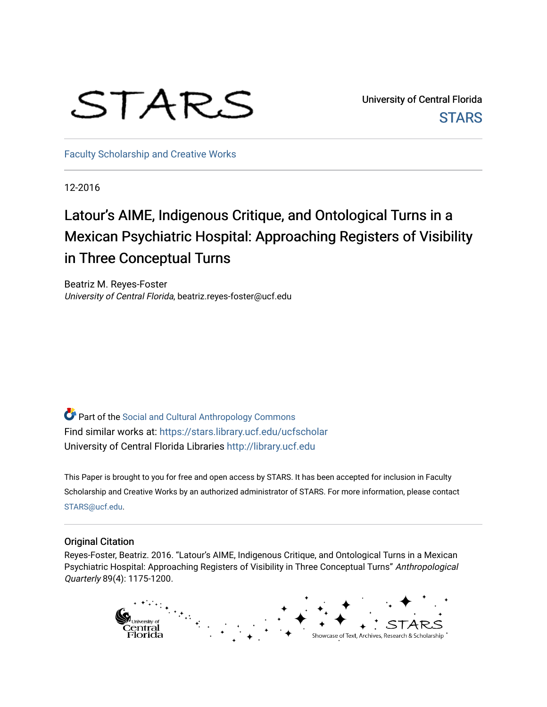# STARS

University of Central Florida **STARS** 

[Faculty Scholarship and Creative Works](https://stars.library.ucf.edu/ucfscholar) 

12-2016

# Latour's AIME, Indigenous Critique, and Ontological Turns in a Mexican Psychiatric Hospital: Approaching Registers of Visibility in Three Conceptual Turns

Beatriz M. Reyes-Foster University of Central Florida, beatriz.reyes-foster@ucf.edu

Part of the [Social and Cultural Anthropology Commons](http://network.bepress.com/hgg/discipline/323?utm_source=stars.library.ucf.edu%2Fucfscholar%2F110&utm_medium=PDF&utm_campaign=PDFCoverPages)  Find similar works at: <https://stars.library.ucf.edu/ucfscholar> University of Central Florida Libraries [http://library.ucf.edu](http://library.ucf.edu/) 

This Paper is brought to you for free and open access by STARS. It has been accepted for inclusion in Faculty Scholarship and Creative Works by an authorized administrator of STARS. For more information, please contact [STARS@ucf.edu](mailto:STARS@ucf.edu).

# Original Citation

Reyes-Foster, Beatriz. 2016. "Latour's AIME, Indigenous Critique, and Ontological Turns in a Mexican Psychiatric Hospital: Approaching Registers of Visibility in Three Conceptual Turns" Anthropological Quarterly 89(4): 1175-1200.

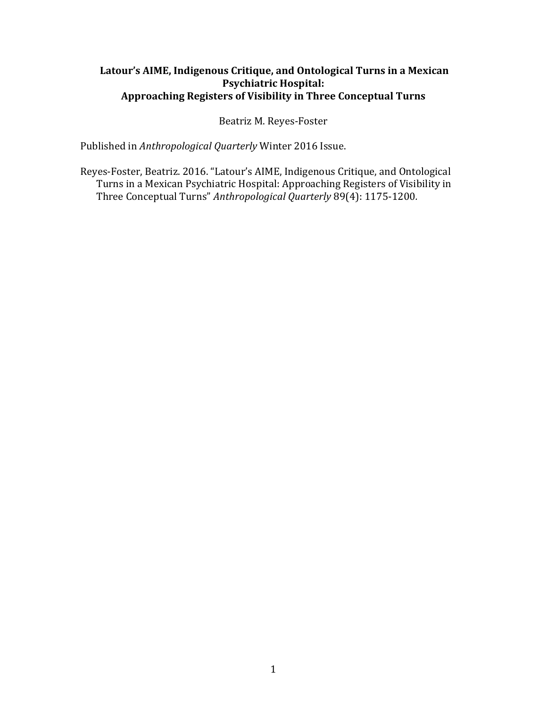# **Latour's AIME, Indigenous Critique, and Ontological Turns in a Mexican Psychiatric Hospital: Approaching Registers of Visibility in Three Conceptual Turns**

Beatriz M. Reyes-Foster

Published in *Anthropological Quarterly* Winter 2016 Issue.

Reyes-Foster, Beatriz. 2016. "Latour's AIME, Indigenous Critique, and Ontological Turns in a Mexican Psychiatric Hospital: Approaching Registers of Visibility in Three Conceptual Turns" *Anthropological Quarterly* 89(4): 1175-1200*.*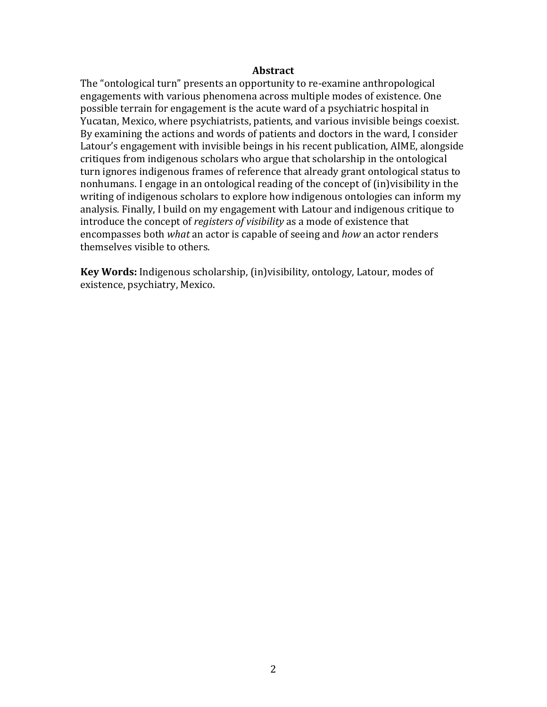# **Abstract**

The "ontological turn" presents an opportunity to re-examine anthropological engagements with various phenomena across multiple modes of existence. One possible terrain for engagement is the acute ward of a psychiatric hospital in Yucatan, Mexico, where psychiatrists, patients, and various invisible beings coexist. By examining the actions and words of patients and doctors in the ward, I consider Latour's engagement with invisible beings in his recent publication, AIME, alongside critiques from indigenous scholars who argue that scholarship in the ontological turn ignores indigenous frames of reference that already grant ontological status to nonhumans. I engage in an ontological reading of the concept of (in)visibility in the writing of indigenous scholars to explore how indigenous ontologies can inform my analysis. Finally, I build on my engagement with Latour and indigenous critique to introduce the concept of *registers of visibility* as a mode of existence that encompasses both *what* an actor is capable of seeing and *how* an actor renders themselves visible to others.

**Key Words:** Indigenous scholarship, (in)visibility, ontology, Latour, modes of existence, psychiatry, Mexico.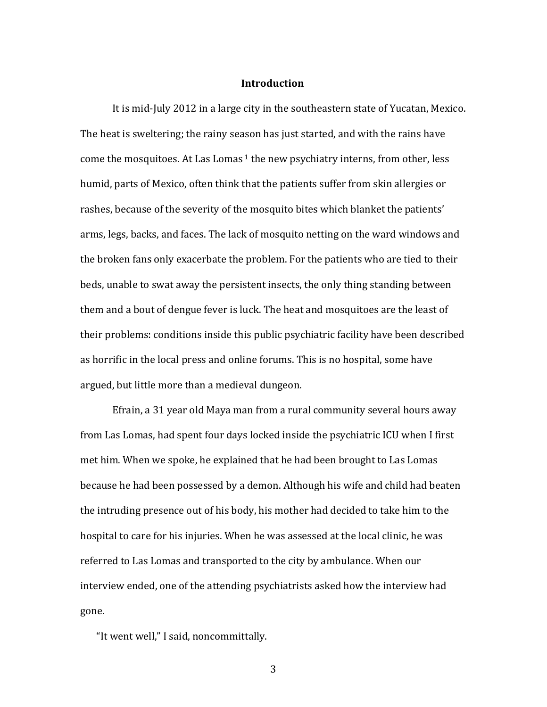# **Introduction**

It is mid-July 2012 in a large city in the southeastern state of Yucatan, Mexico. The heat is sweltering; the rainy season has just started, and with the rains have come the mosquitoes. At Las Lomas<sup>1</sup> the new psychiatry interns, from other, less humid, parts of Mexico, often think that the patients suffer from skin allergies or rashes, because of the severity of the mosquito bites which blanket the patients' arms, legs, backs, and faces. The lack of mosquito netting on the ward windows and the broken fans only exacerbate the problem. For the patients who are tied to their beds, unable to swat away the persistent insects, the only thing standing between them and a bout of dengue fever is luck. The heat and mosquitoes are the least of their problems: conditions inside this public psychiatric facility have been described as horrific in the local press and online forums. This is no hospital, some have argued, but little more than a medieval dungeon.

Efrain, a 31 year old Maya man from a rural community several hours away from Las Lomas, had spent four days locked inside the psychiatric ICU when I first met him. When we spoke, he explained that he had been brought to Las Lomas because he had been possessed by a demon. Although his wife and child had beaten the intruding presence out of his body, his mother had decided to take him to the hospital to care for his injuries. When he was assessed at the local clinic, he was referred to Las Lomas and transported to the city by ambulance. When our interview ended, one of the attending psychiatrists asked how the interview had gone.

"It went well," I said, noncommittally.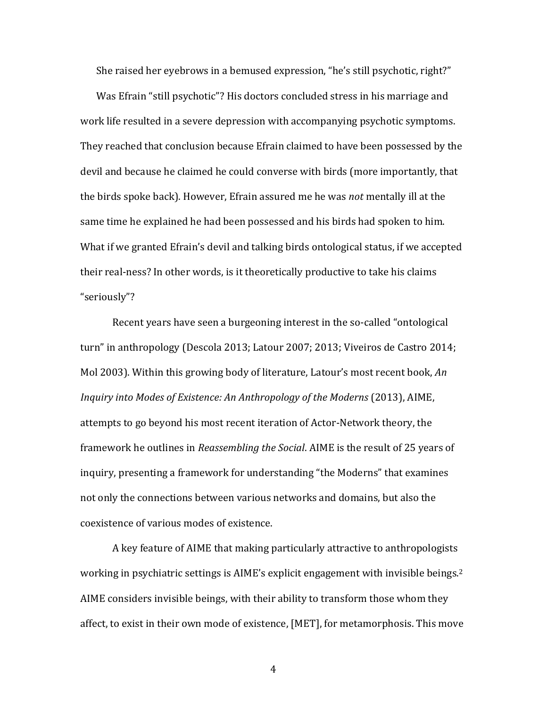She raised her eyebrows in a bemused expression, "he's still psychotic, right?"

Was Efrain "still psychotic"? His doctors concluded stress in his marriage and work life resulted in a severe depression with accompanying psychotic symptoms. They reached that conclusion because Efrain claimed to have been possessed by the devil and because he claimed he could converse with birds (more importantly, that the birds spoke back). However, Efrain assured me he was *not* mentally ill at the same time he explained he had been possessed and his birds had spoken to him. What if we granted Efrain's devil and talking birds ontological status, if we accepted their real-ness? In other words, is it theoretically productive to take his claims "seriously"?

Recent years have seen a burgeoning interest in the so-called "ontological turn" in anthropology (Descola 2013; Latour 2007; 2013; Viveiros de Castro 2014; Mol 2003). Within this growing body of literature, Latour's most recent book, *An Inquiry into Modes of Existence: An Anthropology of the Moderns* (2013), AIME, attempts to go beyond his most recent iteration of Actor-Network theory, the framework he outlines in *Reassembling the Social*. AIME is the result of 25 years of inquiry, presenting a framework for understanding "the Moderns" that examines not only the connections between various networks and domains, but also the coexistence of various modes of existence.

A key feature of AIME that making particularly attractive to anthropologists working in psychiatric settings is AIME's explicit engagement with invisible beings.<sup>2</sup> AIME considers invisible beings, with their ability to transform those whom they affect, to exist in their own mode of existence, [MET], for metamorphosis. This move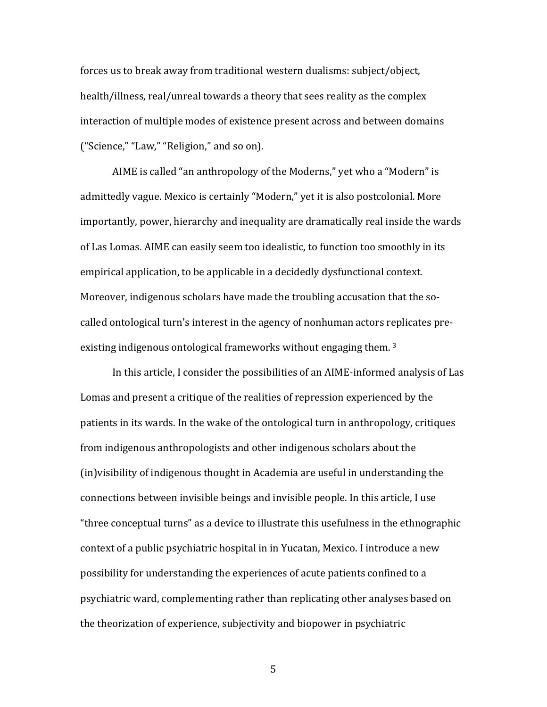forces us to break away from traditional western dualisms: subject/object, health/illness, real/unreal towards a theory that sees reality as the complex interaction of multiple modes of existence present across and between domains ("Science," "Law," "Religion," and so on).

AIME is called "an anthropology of the Moderns," yet who a "Modern" is admittedly vague. Mexico is certainly "Modern," yet it is also postcolonial. More importantly, power, hierarchy and inequality are dramatically real inside the wards of Las Lomas. AIME can easily seem too idealistic, to function too smoothly in its empirical application, to be applicable in a decidedly dysfunctional context. Moreover, indigenous scholars have made the troubling accusation that the socalled ontological turn's interest in the agency of nonhuman actors replicates preexisting indigenous ontological frameworks without engaging them.<sup>3</sup>

In this article, I consider the possibilities of an AIME-informed analysis of Las Lomas and present a critique of the realities of repression experienced by the patients in its wards. In the wake of the ontological turn in anthropology, critiques from indigenous anthropologists and other indigenous scholars about the (in)visibility of indigenous thought in Academia are useful in understanding the connections between invisible beings and invisible people. In this article, I use "three conceptual turns" as a device to illustrate this usefulness in the ethnographic context of a public psychiatric hospital in in Yucatan, Mexico. I introduce a new possibility for understanding the experiences of acute patients confined to a psychiatric ward, complementing rather than replicating other analyses based on the theorization of experience, subjectivity and biopower in psychiatric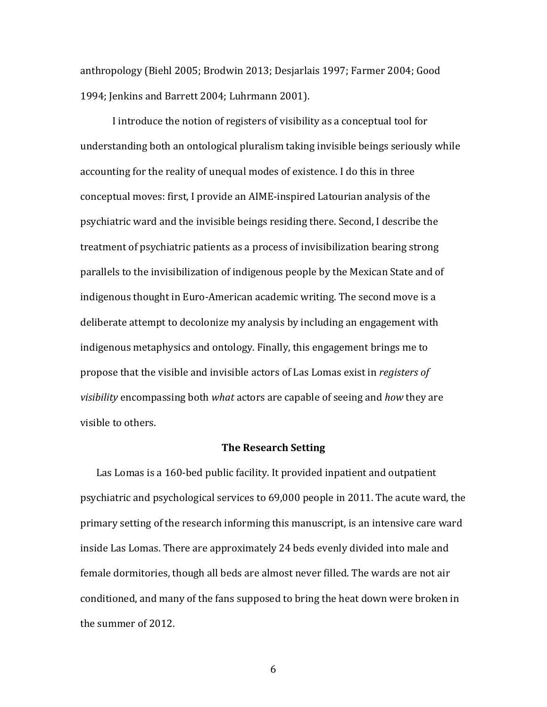anthropology (Biehl 2005; Brodwin 2013; Desjarlais 1997; Farmer 2004; Good 1994; Jenkins and Barrett 2004; Luhrmann 2001).

I introduce the notion of registers of visibility as a conceptual tool for understanding both an ontological pluralism taking invisible beings seriously while accounting for the reality of unequal modes of existence. I do this in three conceptual moves: first, I provide an AIME-inspired Latourian analysis of the psychiatric ward and the invisible beings residing there. Second, I describe the treatment of psychiatric patients as a process of invisibilization bearing strong parallels to the invisibilization of indigenous people by the Mexican State and of indigenous thought in Euro-American academic writing. The second move is a deliberate attempt to decolonize my analysis by including an engagement with indigenous metaphysics and ontology. Finally, this engagement brings me to propose that the visible and invisible actors of Las Lomas exist in *registers of visibility* encompassing both *what* actors are capable of seeing and *how* they are visible to others.

# **The Research Setting**

Las Lomas is a 160-bed public facility. It provided inpatient and outpatient psychiatric and psychological services to 69,000 people in 2011. The acute ward, the primary setting of the research informing this manuscript, is an intensive care ward inside Las Lomas. There are approximately 24 beds evenly divided into male and female dormitories, though all beds are almost never filled. The wards are not air conditioned, and many of the fans supposed to bring the heat down were broken in the summer of 2012.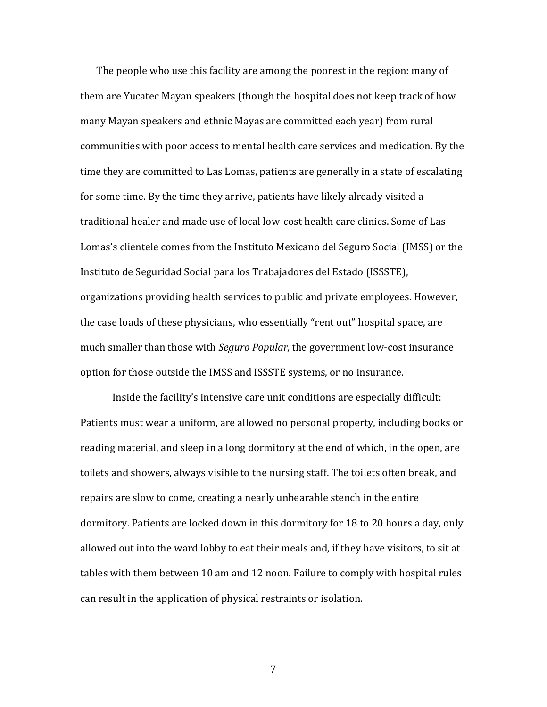The people who use this facility are among the poorest in the region: many of them are Yucatec Mayan speakers (though the hospital does not keep track of how many Mayan speakers and ethnic Mayas are committed each year) from rural communities with poor access to mental health care services and medication. By the time they are committed to Las Lomas, patients are generally in a state of escalating for some time. By the time they arrive, patients have likely already visited a traditional healer and made use of local low-cost health care clinics. Some of Las Lomas's clientele comes from the Instituto Mexicano del Seguro Social (IMSS) or the Instituto de Seguridad Social para los Trabajadores del Estado (ISSSTE), organizations providing health services to public and private employees. However, the case loads of these physicians, who essentially "rent out" hospital space, are much smaller than those with *Seguro Popular,* the government low-cost insurance option for those outside the IMSS and ISSSTE systems, or no insurance.

Inside the facility's intensive care unit conditions are especially difficult: Patients must wear a uniform, are allowed no personal property, including books or reading material, and sleep in a long dormitory at the end of which, in the open, are toilets and showers, always visible to the nursing staff. The toilets often break, and repairs are slow to come, creating a nearly unbearable stench in the entire dormitory. Patients are locked down in this dormitory for 18 to 20 hours a day, only allowed out into the ward lobby to eat their meals and, if they have visitors, to sit at tables with them between 10 am and 12 noon. Failure to comply with hospital rules can result in the application of physical restraints or isolation.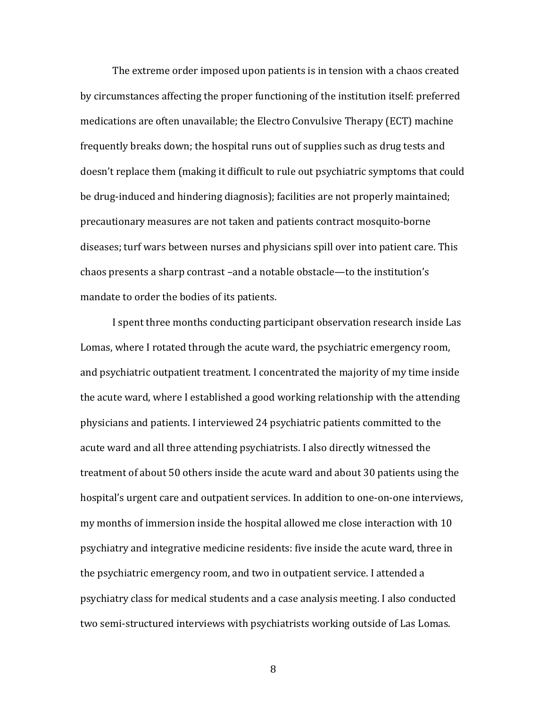The extreme order imposed upon patients is in tension with a chaos created by circumstances affecting the proper functioning of the institution itself: preferred medications are often unavailable; the Electro Convulsive Therapy (ECT) machine frequently breaks down; the hospital runs out of supplies such as drug tests and doesn't replace them (making it difficult to rule out psychiatric symptoms that could be drug-induced and hindering diagnosis); facilities are not properly maintained; precautionary measures are not taken and patients contract mosquito-borne diseases; turf wars between nurses and physicians spill over into patient care. This chaos presents a sharp contrast –and a notable obstacle—to the institution's mandate to order the bodies of its patients.

I spent three months conducting participant observation research inside Las Lomas, where I rotated through the acute ward, the psychiatric emergency room, and psychiatric outpatient treatment. I concentrated the majority of my time inside the acute ward, where I established a good working relationship with the attending physicians and patients. I interviewed 24 psychiatric patients committed to the acute ward and all three attending psychiatrists. I also directly witnessed the treatment of about 50 others inside the acute ward and about 30 patients using the hospital's urgent care and outpatient services. In addition to one-on-one interviews, my months of immersion inside the hospital allowed me close interaction with 10 psychiatry and integrative medicine residents: five inside the acute ward, three in the psychiatric emergency room, and two in outpatient service. I attended a psychiatry class for medical students and a case analysis meeting. I also conducted two semi-structured interviews with psychiatrists working outside of Las Lomas.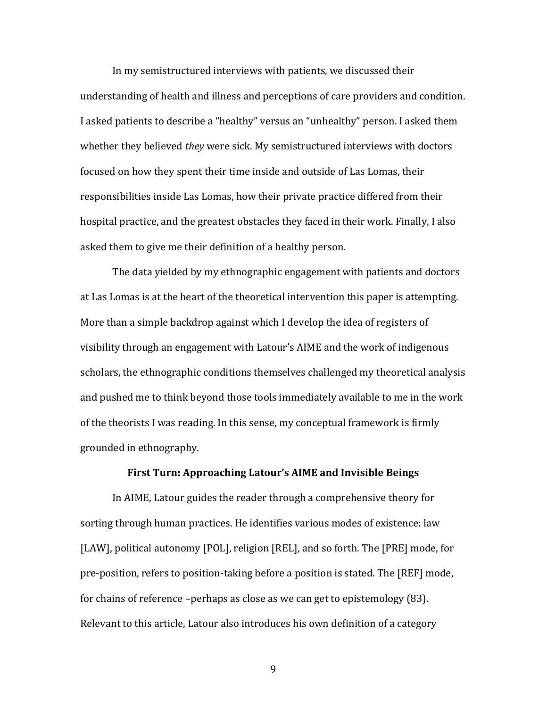In my semistructured interviews with patients, we discussed their understanding of health and illness and perceptions of care providers and condition. I asked patients to describe a "healthy" versus an "unhealthy" person. I asked them whether they believed *they* were sick. My semistructured interviews with doctors focused on how they spent their time inside and outside of Las Lomas, their responsibilities inside Las Lomas, how their private practice differed from their hospital practice, and the greatest obstacles they faced in their work. Finally, I also asked them to give me their definition of a healthy person.

The data yielded by my ethnographic engagement with patients and doctors at Las Lomas is at the heart of the theoretical intervention this paper is attempting. More than a simple backdrop against which I develop the idea of registers of visibility through an engagement with Latour's AIME and the work of indigenous scholars, the ethnographic conditions themselves challenged my theoretical analysis and pushed me to think beyond those tools immediately available to me in the work of the theorists I was reading. In this sense, my conceptual framework is firmly grounded in ethnography.

# **First Turn: Approaching Latour's AIME and Invisible Beings**

In AIME, Latour guides the reader through a comprehensive theory for sorting through human practices. He identifies various modes of existence: law [LAW], political autonomy [POL], religion [REL], and so forth. The [PRE] mode, for pre-position, refers to position-taking before a position is stated. The [REF] mode, for chains of reference –perhaps as close as we can get to epistemology (83). Relevant to this article, Latour also introduces his own definition of a category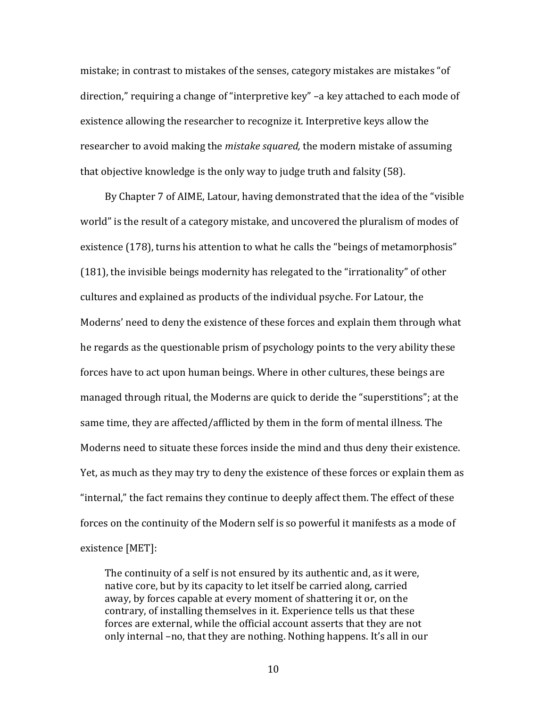mistake; in contrast to mistakes of the senses, category mistakes are mistakes "of direction," requiring a change of "interpretive key" –a key attached to each mode of existence allowing the researcher to recognize it. Interpretive keys allow the researcher to avoid making the *mistake squared,* the modern mistake of assuming that objective knowledge is the only way to judge truth and falsity (58).

By Chapter 7 of AIME, Latour, having demonstrated that the idea of the "visible world" is the result of a category mistake, and uncovered the pluralism of modes of existence (178), turns his attention to what he calls the "beings of metamorphosis" (181), the invisible beings modernity has relegated to the "irrationality" of other cultures and explained as products of the individual psyche. For Latour, the Moderns' need to deny the existence of these forces and explain them through what he regards as the questionable prism of psychology points to the very ability these forces have to act upon human beings. Where in other cultures, these beings are managed through ritual, the Moderns are quick to deride the "superstitions"; at the same time, they are affected/afflicted by them in the form of mental illness. The Moderns need to situate these forces inside the mind and thus deny their existence. Yet, as much as they may try to deny the existence of these forces or explain them as "internal," the fact remains they continue to deeply affect them. The effect of these forces on the continuity of the Modern self is so powerful it manifests as a mode of existence [MET]:

The continuity of a self is not ensured by its authentic and, as it were, native core, but by its capacity to let itself be carried along, carried away, by forces capable at every moment of shattering it or, on the contrary, of installing themselves in it. Experience tells us that these forces are external, while the official account asserts that they are not only internal –no, that they are nothing. Nothing happens. It's all in our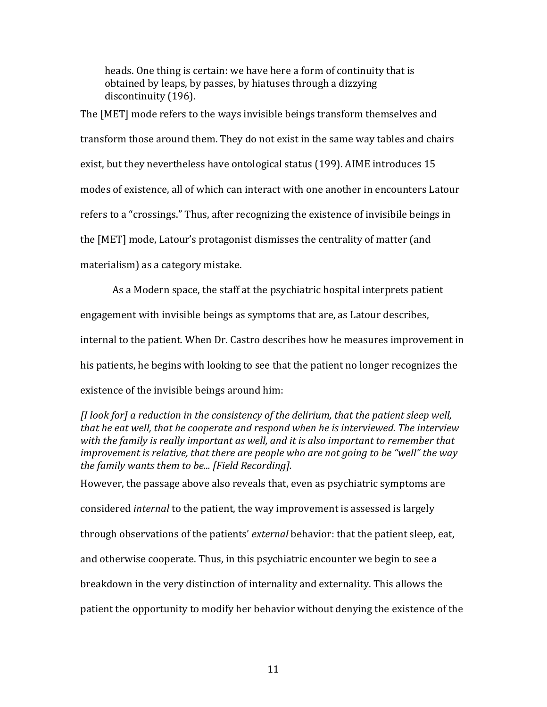heads. One thing is certain: we have here a form of continuity that is obtained by leaps, by passes, by hiatuses through a dizzying discontinuity (196).

The [MET] mode refers to the ways invisible beings transform themselves and transform those around them. They do not exist in the same way tables and chairs exist, but they nevertheless have ontological status (199). AIME introduces 15 modes of existence, all of which can interact with one another in encounters Latour refers to a "crossings." Thus, after recognizing the existence of invisibile beings in the [MET] mode, Latour's protagonist dismisses the centrality of matter (and materialism) as a category mistake.

As a Modern space, the staff at the psychiatric hospital interprets patient engagement with invisible beings as symptoms that are, as Latour describes, internal to the patient. When Dr. Castro describes how he measures improvement in his patients, he begins with looking to see that the patient no longer recognizes the existence of the invisible beings around him:

*[I look for] a reduction in the consistency of the delirium, that the patient sleep well, that he eat well, that he cooperate and respond when he is interviewed. The interview with the family is really important as well, and it is also important to remember that improvement is relative, that there are people who are not going to be "well" the way the family wants them to be... [Field Recording].*

However, the passage above also reveals that, even as psychiatric symptoms are considered *internal* to the patient, the way improvement is assessed is largely through observations of the patients' *external* behavior: that the patient sleep, eat, and otherwise cooperate. Thus, in this psychiatric encounter we begin to see a breakdown in the very distinction of internality and externality. This allows the patient the opportunity to modify her behavior without denying the existence of the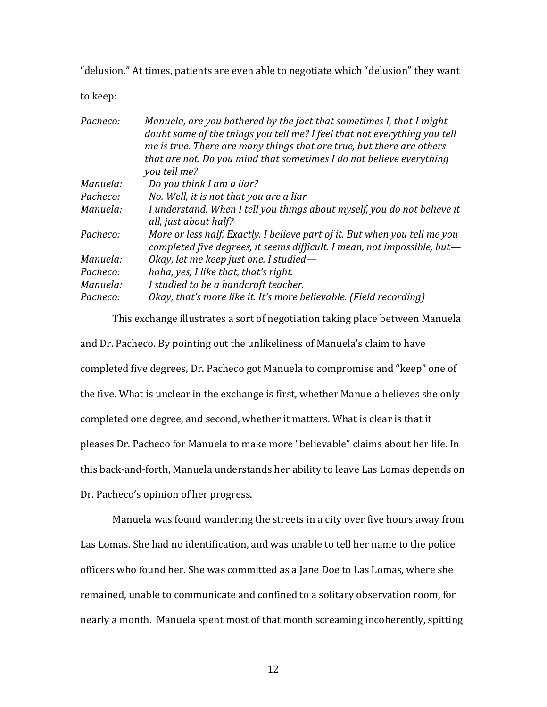"delusion." At times, patients are even able to negotiate which "delusion" they want

to keep:

| Pacheco: | Manuela, are you bothered by the fact that sometimes I, that I might<br>doubt some of the things you tell me? I feel that not everything you tell<br>me is true. There are many things that are true, but there are others |
|----------|----------------------------------------------------------------------------------------------------------------------------------------------------------------------------------------------------------------------------|
|          | that are not. Do you mind that sometimes I do not believe everything<br>you tell me?                                                                                                                                       |
| Manuela: | Do you think I am a liar?                                                                                                                                                                                                  |
| Pacheco: | No. Well, it is not that you are a liar-                                                                                                                                                                                   |
| Manuela: | I understand. When I tell you things about myself, you do not believe it<br>all, just about half?                                                                                                                          |
| Pacheco: | More or less half. Exactly. I believe part of it. But when you tell me you<br>completed five degrees, it seems difficult. I mean, not impossible, but-                                                                     |
| Manuela: | Okay, let me keep just one. I studied—                                                                                                                                                                                     |
| Pacheco: | haha, yes, I like that, that's right.                                                                                                                                                                                      |
| Manuela: | I studied to be a handcraft teacher.                                                                                                                                                                                       |
| Pacheco: | Okay, that's more like it. It's more believable. (Field recording)                                                                                                                                                         |
|          |                                                                                                                                                                                                                            |

This exchange illustrates a sort of negotiation taking place between Manuela

and Dr. Pacheco. By pointing out the unlikeliness of Manuela's claim to have completed five degrees, Dr. Pacheco got Manuela to compromise and "keep" one of the five. What is unclear in the exchange is first, whether Manuela believes she only completed one degree, and second, whether it matters. What is clear is that it pleases Dr. Pacheco for Manuela to make more "believable" claims about her life. In this back-and-forth, Manuela understands her ability to leave Las Lomas depends on Dr. Pacheco's opinion of her progress.

Manuela was found wandering the streets in a city over five hours away from Las Lomas. She had no identification, and was unable to tell her name to the police officers who found her. She was committed as a Jane Doe to Las Lomas, where she remained, unable to communicate and confined to a solitary observation room, for nearly a month. Manuela spent most of that month screaming incoherently, spitting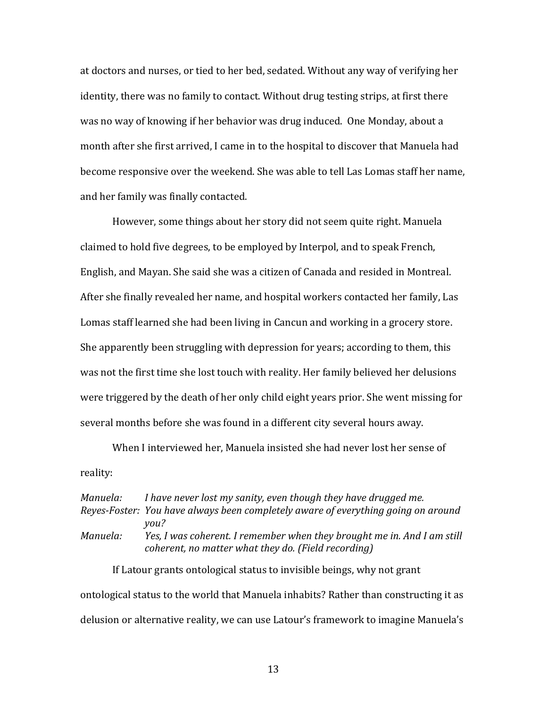at doctors and nurses, or tied to her bed, sedated. Without any way of verifying her identity, there was no family to contact. Without drug testing strips, at first there was no way of knowing if her behavior was drug induced. One Monday, about a month after she first arrived, I came in to the hospital to discover that Manuela had become responsive over the weekend. She was able to tell Las Lomas staff her name, and her family was finally contacted.

However, some things about her story did not seem quite right. Manuela claimed to hold five degrees, to be employed by Interpol, and to speak French, English, and Mayan. She said she was a citizen of Canada and resided in Montreal. After she finally revealed her name, and hospital workers contacted her family, Las Lomas staff learned she had been living in Cancun and working in a grocery store. She apparently been struggling with depression for years; according to them, this was not the first time she lost touch with reality. Her family believed her delusions were triggered by the death of her only child eight years prior. She went missing for several months before she was found in a different city several hours away.

When I interviewed her, Manuela insisted she had never lost her sense of reality:

# *Manuela: I have never lost my sanity, even though they have drugged me. Reyes-Foster: You have always been completely aware of everything going on around you? Manuela: Yes, I was coherent. I remember when they brought me in. And I am still coherent, no matter what they do. (Field recording)*

If Latour grants ontological status to invisible beings, why not grant ontological status to the world that Manuela inhabits? Rather than constructing it as delusion or alternative reality, we can use Latour's framework to imagine Manuela's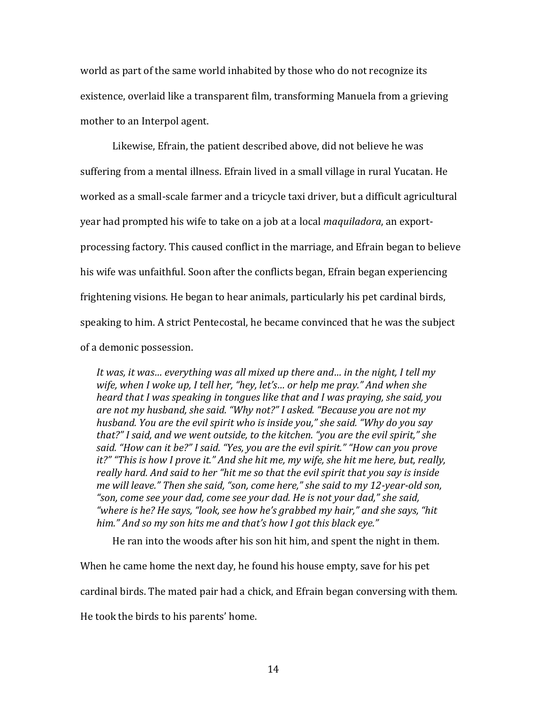world as part of the same world inhabited by those who do not recognize its existence, overlaid like a transparent film, transforming Manuela from a grieving mother to an Interpol agent.

Likewise, Efrain, the patient described above, did not believe he was suffering from a mental illness. Efrain lived in a small village in rural Yucatan. He worked as a small-scale farmer and a tricycle taxi driver, but a difficult agricultural year had prompted his wife to take on a job at a local *maquiladora*, an exportprocessing factory. This caused conflict in the marriage, and Efrain began to believe his wife was unfaithful. Soon after the conflicts began, Efrain began experiencing frightening visions. He began to hear animals, particularly his pet cardinal birds, speaking to him. A strict Pentecostal, he became convinced that he was the subject of a demonic possession.

*It was, it was… everything was all mixed up there and… in the night, I tell my wife, when I woke up, I tell her, "hey, let's… or help me pray." And when she heard that I was speaking in tongues like that and I was praying, she said, you are not my husband, she said. "Why not?" I asked. "Because you are not my husband. You are the evil spirit who is inside you," she said. "Why do you say that?" I said, and we went outside, to the kitchen. "you are the evil spirit," she said. "How can it be?" I said. "Yes, you are the evil spirit." "How can you prove it?" "This is how I prove it." And she hit me, my wife, she hit me here, but, really, really hard. And said to her "hit me so that the evil spirit that you say is inside me will leave." Then she said, "son, come here," she said to my 12-year-old son, "son, come see your dad, come see your dad. He is not your dad," she said, "where is he? He says, "look, see how he's grabbed my hair," and she says, "hit him." And so my son hits me and that's how I got this black eye."*

He ran into the woods after his son hit him, and spent the night in them.

When he came home the next day, he found his house empty, save for his pet cardinal birds. The mated pair had a chick, and Efrain began conversing with them. He took the birds to his parents' home.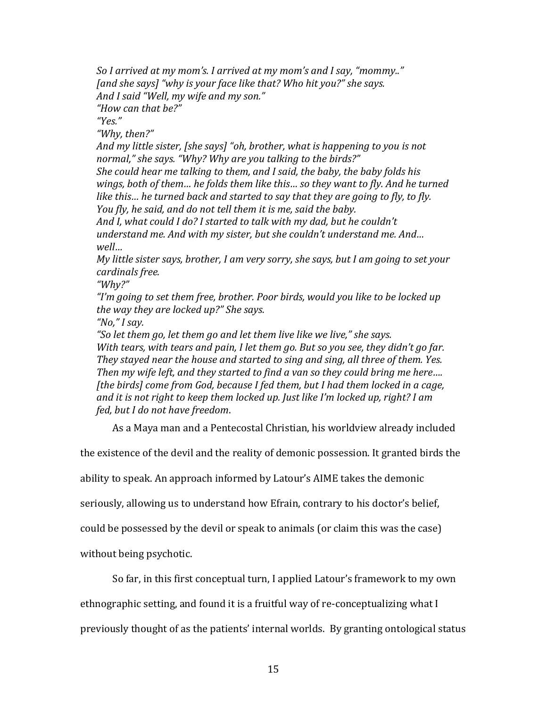*So I arrived at my mom's. I arrived at my mom's and I say, "mommy.." [and she says] "why is your face like that? Who hit you?" she says. And I said "Well, my wife and my son." "How can that be?"* 

*"Yes."* 

*"Why, then?"* 

*And my little sister, [she says] "oh, brother, what is happening to you is not normal," she says. "Why? Why are you talking to the birds?" She could hear me talking to them, and I said, the baby, the baby folds his wings, both of them… he folds them like this… so they want to fly. And he turned like this… he turned back and started to say that they are going to fly, to fly. You fly, he said, and do not tell them it is me, said the baby. And I, what could I do? I started to talk with my dad, but he couldn't* 

*understand me. And with my sister, but she couldn't understand me. And… well…* 

*My little sister says, brother, I am very sorry, she says, but I am going to set your cardinals free.* 

*"Why?"* 

*"I'm going to set them free, brother. Poor birds, would you like to be locked up the way they are locked up?" She says.* 

*"No," I say.* 

*"So let them go, let them go and let them live like we live," she says. With tears, with tears and pain, I let them go. But so you see, they didn't go far. They stayed near the house and started to sing and sing, all three of them. Yes. Then my wife left, and they started to find a van so they could bring me here…. [the birds] come from God, because I fed them, but I had them locked in a cage, and it is not right to keep them locked up. Just like I'm locked up, right? I am fed, but I do not have freedom*.

As a Maya man and a Pentecostal Christian, his worldview already included

the existence of the devil and the reality of demonic possession. It granted birds the

ability to speak. An approach informed by Latour's AIME takes the demonic

seriously, allowing us to understand how Efrain, contrary to his doctor's belief,

could be possessed by the devil or speak to animals (or claim this was the case)

without being psychotic.

So far, in this first conceptual turn, I applied Latour's framework to my own

ethnographic setting, and found it is a fruitful way of re-conceptualizing what I

previously thought of as the patients' internal worlds. By granting ontological status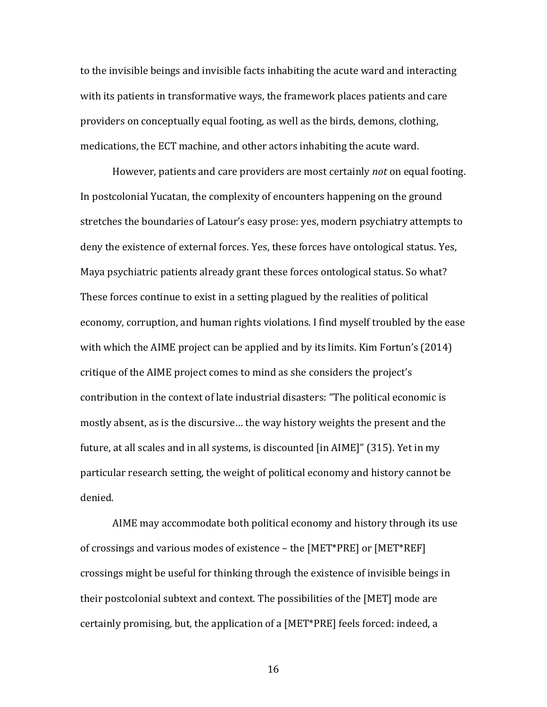to the invisible beings and invisible facts inhabiting the acute ward and interacting with its patients in transformative ways, the framework places patients and care providers on conceptually equal footing, as well as the birds, demons, clothing, medications, the ECT machine, and other actors inhabiting the acute ward.

However, patients and care providers are most certainly *not* on equal footing. In postcolonial Yucatan, the complexity of encounters happening on the ground stretches the boundaries of Latour's easy prose: yes, modern psychiatry attempts to deny the existence of external forces. Yes, these forces have ontological status. Yes, Maya psychiatric patients already grant these forces ontological status. So what? These forces continue to exist in a setting plagued by the realities of political economy, corruption, and human rights violations. I find myself troubled by the ease with which the AIME project can be applied and by its limits. Kim Fortun's (2014) critique of the AIME project comes to mind as she considers the project's contribution in the context of late industrial disasters: "The political economic is mostly absent, as is the discursive… the way history weights the present and the future, at all scales and in all systems, is discounted [in AIME]" (315). Yet in my particular research setting, the weight of political economy and history cannot be denied.

AIME may accommodate both political economy and history through its use of crossings and various modes of existence – the [MET\*PRE] or [MET\*REF] crossings might be useful for thinking through the existence of invisible beings in their postcolonial subtext and context. The possibilities of the [MET] mode are certainly promising, but, the application of a [MET\*PRE] feels forced: indeed, a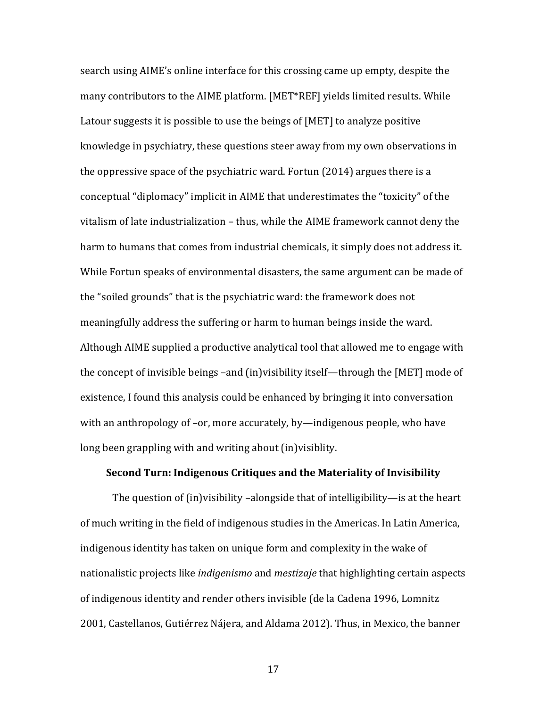search using AIME's online interface for this crossing came up empty, despite the many contributors to the AIME platform. [MET\*REF] yields limited results. While Latour suggests it is possible to use the beings of [MET] to analyze positive knowledge in psychiatry, these questions steer away from my own observations in the oppressive space of the psychiatric ward. Fortun (2014) argues there is a conceptual "diplomacy" implicit in AIME that underestimates the "toxicity" of the vitalism of late industrialization – thus, while the AIME framework cannot deny the harm to humans that comes from industrial chemicals, it simply does not address it. While Fortun speaks of environmental disasters, the same argument can be made of the "soiled grounds" that is the psychiatric ward: the framework does not meaningfully address the suffering or harm to human beings inside the ward. Although AIME supplied a productive analytical tool that allowed me to engage with the concept of invisible beings –and (in)visibility itself—through the [MET] mode of existence, I found this analysis could be enhanced by bringing it into conversation with an anthropology of –or, more accurately, by—indigenous people, who have long been grappling with and writing about (in)visiblity.

# **Second Turn: Indigenous Critiques and the Materiality of Invisibility**

The question of (in)visibility –alongside that of intelligibility—is at the heart of much writing in the field of indigenous studies in the Americas. In Latin America, indigenous identity has taken on unique form and complexity in the wake of nationalistic projects like *indigenismo* and *mestizaje* that highlighting certain aspects of indigenous identity and render others invisible (de la Cadena 1996, Lomnitz 2001, Castellanos, Gutiérrez Nájera, and Aldama 2012). Thus, in Mexico, the banner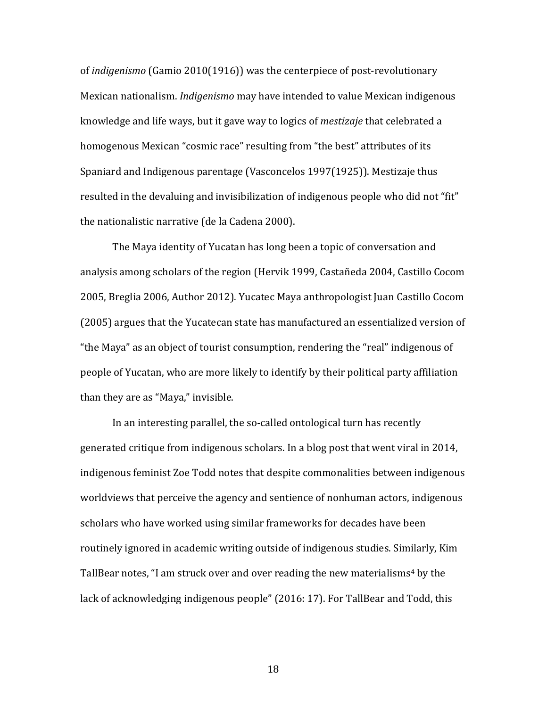of *indigenismo* (Gamio 2010(1916)) was the centerpiece of post-revolutionary Mexican nationalism. *Indigenismo* may have intended to value Mexican indigenous knowledge and life ways, but it gave way to logics of *mestizaje* that celebrated a homogenous Mexican "cosmic race" resulting from "the best" attributes of its Spaniard and Indigenous parentage (Vasconcelos 1997(1925)). Mestizaje thus resulted in the devaluing and invisibilization of indigenous people who did not "fit" the nationalistic narrative (de la Cadena 2000).

The Maya identity of Yucatan has long been a topic of conversation and analysis among scholars of the region (Hervik 1999, Castañeda 2004, Castillo Cocom 2005, Breglia 2006, Author 2012). Yucatec Maya anthropologist Juan Castillo Cocom (2005) argues that the Yucatecan state has manufactured an essentialized version of "the Maya" as an object of tourist consumption, rendering the "real" indigenous of people of Yucatan, who are more likely to identify by their political party affiliation than they are as "Maya," invisible.

In an interesting parallel, the so-called ontological turn has recently generated critique from indigenous scholars. In a blog post that went viral in 2014, indigenous feminist Zoe Todd notes that despite commonalities between indigenous worldviews that perceive the agency and sentience of nonhuman actors, indigenous scholars who have worked using similar frameworks for decades have been routinely ignored in academic writing outside of indigenous studies. Similarly, Kim TallBear notes, "I am struck over and over reading the new materialisms<sup>4</sup> by the lack of acknowledging indigenous people" (2016: 17). For TallBear and Todd, this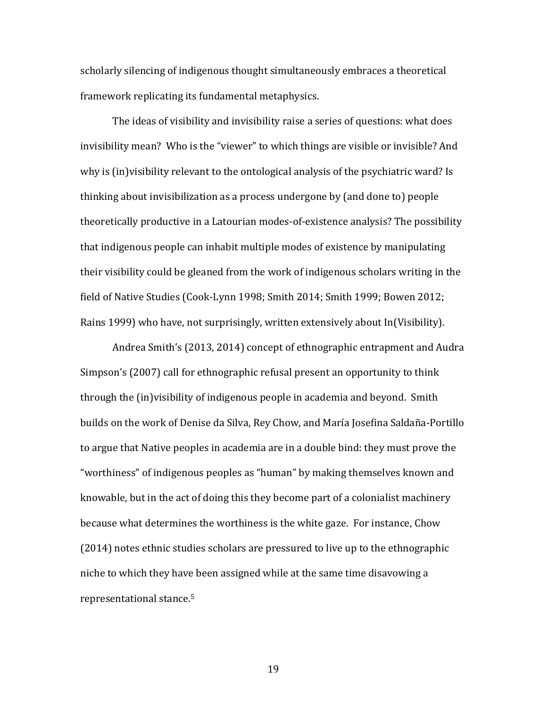scholarly silencing of indigenous thought simultaneously embraces a theoretical framework replicating its fundamental metaphysics.

The ideas of visibility and invisibility raise a series of questions: what does invisibility mean? Who is the "viewer" to which things are visible or invisible? And why is (in)visibility relevant to the ontological analysis of the psychiatric ward? Is thinking about invisibilization as a process undergone by (and done to) people theoretically productive in a Latourian modes-of-existence analysis? The possibility that indigenous people can inhabit multiple modes of existence by manipulating their visibility could be gleaned from the work of indigenous scholars writing in the field of Native Studies (Cook-Lynn 1998; Smith 2014; Smith 1999; Bowen 2012; Rains 1999) who have, not surprisingly, written extensively about In(Visibility).

Andrea Smith's (2013, 2014) concept of ethnographic entrapment and Audra Simpson's (2007) call for ethnographic refusal present an opportunity to think through the (in)visibility of indigenous people in academia and beyond. Smith builds on the work of Denise da Silva, Rey Chow, and María Josefina Saldaña-Portillo to argue that Native peoples in academia are in a double bind: they must prove the "worthiness" of indigenous peoples as "human" by making themselves known and knowable, but in the act of doing this they become part of a colonialist machinery because what determines the worthiness is the white gaze. For instance, Chow (2014) notes ethnic studies scholars are pressured to live up to the ethnographic niche to which they have been assigned while at the same time disavowing a representational stance.5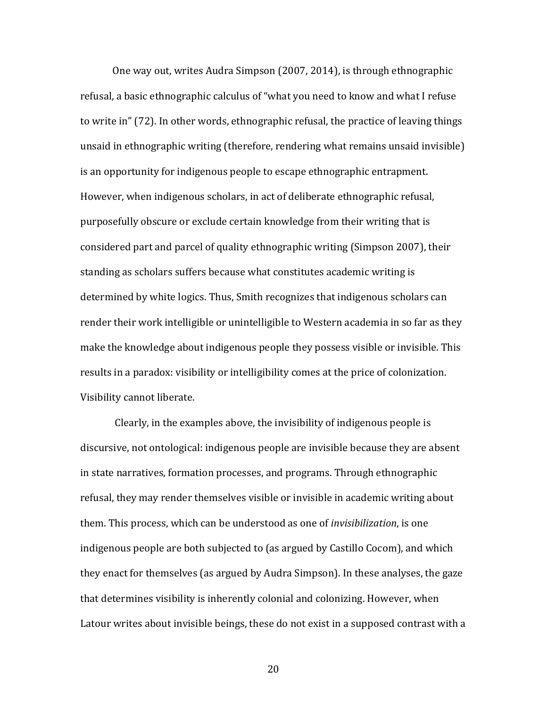One way out, writes Audra Simpson (2007, 2014), is through ethnographic refusal, a basic ethnographic calculus of "what you need to know and what I refuse to write in" (72). In other words, ethnographic refusal, the practice of leaving things unsaid in ethnographic writing (therefore, rendering what remains unsaid invisible) is an opportunity for indigenous people to escape ethnographic entrapment. However, when indigenous scholars, in act of deliberate ethnographic refusal, purposefully obscure or exclude certain knowledge from their writing that is considered part and parcel of quality ethnographic writing (Simpson 2007), their standing as scholars suffers because what constitutes academic writing is determined by white logics. Thus, Smith recognizes that indigenous scholars can render their work intelligible or unintelligible to Western academia in so far as they make the knowledge about indigenous people they possess visible or invisible. This results in a paradox: visibility or intelligibility comes at the price of colonization. Visibility cannot liberate.

Clearly, in the examples above, the invisibility of indigenous people is discursive, not ontological: indigenous people are invisible because they are absent in state narratives, formation processes, and programs. Through ethnographic refusal, they may render themselves visible or invisible in academic writing about them. This process, which can be understood as one of *invisibilization*, is one indigenous people are both subjected to (as argued by Castillo Cocom), and which they enact for themselves (as argued by Audra Simpson). In these analyses, the gaze that determines visibility is inherently colonial and colonizing. However, when Latour writes about invisible beings, these do not exist in a supposed contrast with a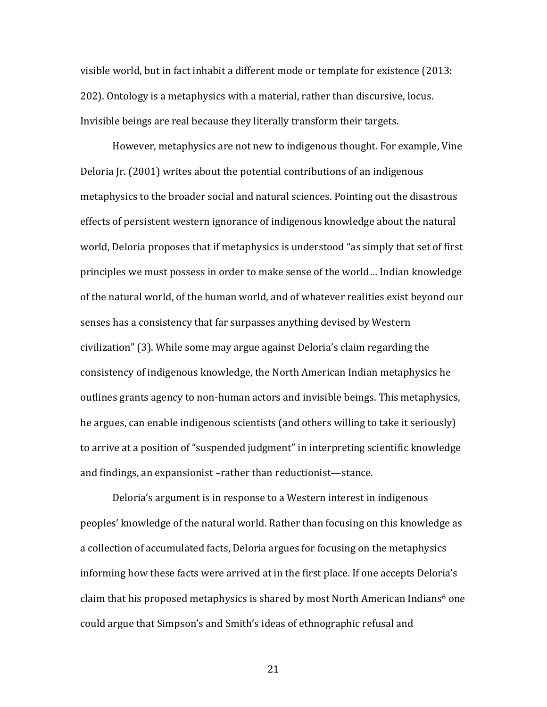visible world, but in fact inhabit a different mode or template for existence (2013: 202). Ontology is a metaphysics with a material, rather than discursive, locus. Invisible beings are real because they literally transform their targets.

However, metaphysics are not new to indigenous thought. For example, Vine Deloria Jr. (2001) writes about the potential contributions of an indigenous metaphysics to the broader social and natural sciences. Pointing out the disastrous effects of persistent western ignorance of indigenous knowledge about the natural world, Deloria proposes that if metaphysics is understood "as simply that set of first principles we must possess in order to make sense of the world… Indian knowledge of the natural world, of the human world, and of whatever realities exist beyond our senses has a consistency that far surpasses anything devised by Western civilization" (3). While some may argue against Deloria's claim regarding the consistency of indigenous knowledge, the North American Indian metaphysics he outlines grants agency to non-human actors and invisible beings. This metaphysics, he argues, can enable indigenous scientists (and others willing to take it seriously) to arrive at a position of "suspended judgment" in interpreting scientific knowledge and findings, an expansionist –rather than reductionist—stance.

Deloria's argument is in response to a Western interest in indigenous peoples' knowledge of the natural world. Rather than focusing on this knowledge as a collection of accumulated facts, Deloria argues for focusing on the metaphysics informing how these facts were arrived at in the first place. If one accepts Deloria's claim that his proposed metaphysics is shared by most North American Indians<sup>6</sup> one could argue that Simpson's and Smith's ideas of ethnographic refusal and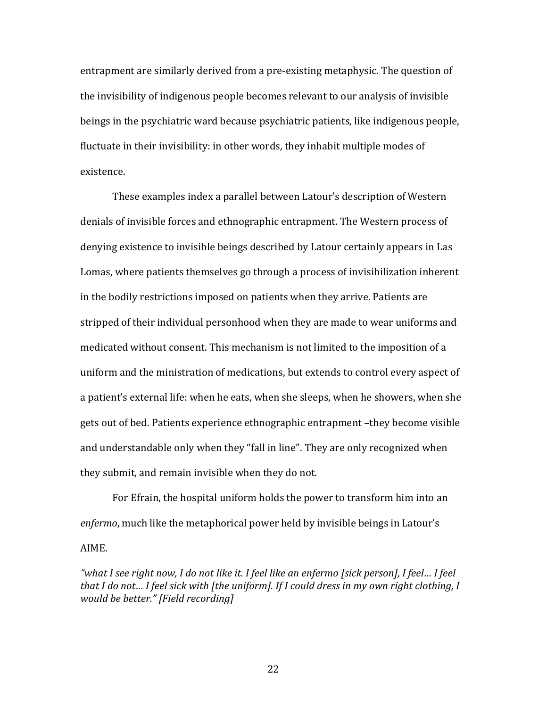entrapment are similarly derived from a pre-existing metaphysic. The question of the invisibility of indigenous people becomes relevant to our analysis of invisible beings in the psychiatric ward because psychiatric patients, like indigenous people, fluctuate in their invisibility: in other words, they inhabit multiple modes of existence.

These examples index a parallel between Latour's description of Western denials of invisible forces and ethnographic entrapment. The Western process of denying existence to invisible beings described by Latour certainly appears in Las Lomas, where patients themselves go through a process of invisibilization inherent in the bodily restrictions imposed on patients when they arrive. Patients are stripped of their individual personhood when they are made to wear uniforms and medicated without consent. This mechanism is not limited to the imposition of a uniform and the ministration of medications, but extends to control every aspect of a patient's external life: when he eats, when she sleeps, when he showers, when she gets out of bed. Patients experience ethnographic entrapment –they become visible and understandable only when they "fall in line". They are only recognized when they submit, and remain invisible when they do not.

For Efrain, the hospital uniform holds the power to transform him into an *enfermo*, much like the metaphorical power held by invisible beings in Latour's AIME.

*"what I see right now, I do not like it. I feel like an enfermo [sick person], I feel… I feel that I do not… I feel sick with [the uniform]. If I could dress in my own right clothing, I would be better." [Field recording]*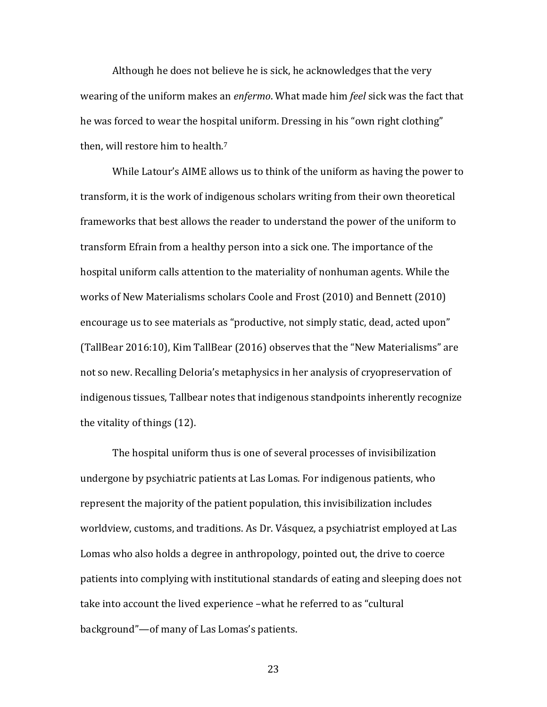Although he does not believe he is sick, he acknowledges that the very wearing of the uniform makes an *enfermo*. What made him *feel* sick was the fact that he was forced to wear the hospital uniform. Dressing in his "own right clothing" then, will restore him to health.<sup>7</sup>

While Latour's AIME allows us to think of the uniform as having the power to transform, it is the work of indigenous scholars writing from their own theoretical frameworks that best allows the reader to understand the power of the uniform to transform Efrain from a healthy person into a sick one. The importance of the hospital uniform calls attention to the materiality of nonhuman agents. While the works of New Materialisms scholars Coole and Frost (2010) and Bennett (2010) encourage us to see materials as "productive, not simply static, dead, acted upon" (TallBear 2016:10), Kim TallBear (2016) observes that the "New Materialisms" are not so new. Recalling Deloria's metaphysics in her analysis of cryopreservation of indigenous tissues, Tallbear notes that indigenous standpoints inherently recognize the vitality of things (12).

The hospital uniform thus is one of several processes of invisibilization undergone by psychiatric patients at Las Lomas. For indigenous patients, who represent the majority of the patient population, this invisibilization includes worldview, customs, and traditions. As Dr. Vásquez, a psychiatrist employed at Las Lomas who also holds a degree in anthropology, pointed out, the drive to coerce patients into complying with institutional standards of eating and sleeping does not take into account the lived experience –what he referred to as "cultural background"—of many of Las Lomas's patients.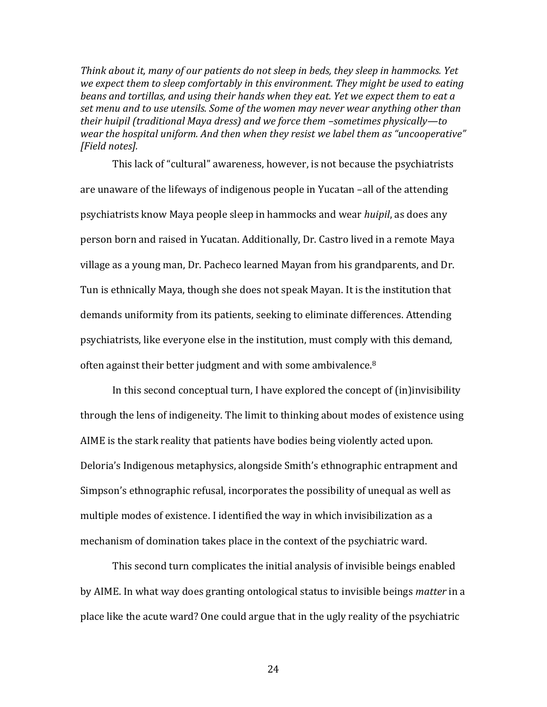*Think about it, many of our patients do not sleep in beds, they sleep in hammocks. Yet we expect them to sleep comfortably in this environment. They might be used to eating beans and tortillas, and using their hands when they eat. Yet we expect them to eat a set menu and to use utensils. Some of the women may never wear anything other than their huipil (traditional Maya dress) and we force them –sometimes physically—to wear the hospital uniform. And then when they resist we label them as "uncooperative" [Field notes].*

This lack of "cultural" awareness, however, is not because the psychiatrists are unaware of the lifeways of indigenous people in Yucatan –all of the attending psychiatrists know Maya people sleep in hammocks and wear *huipil*, as does any person born and raised in Yucatan. Additionally, Dr. Castro lived in a remote Maya village as a young man, Dr. Pacheco learned Mayan from his grandparents, and Dr. Tun is ethnically Maya, though she does not speak Mayan. It is the institution that demands uniformity from its patients, seeking to eliminate differences. Attending psychiatrists, like everyone else in the institution, must comply with this demand, often against their better judgment and with some ambivalence.<sup>8</sup>

In this second conceptual turn, I have explored the concept of (in)invisibility through the lens of indigeneity. The limit to thinking about modes of existence using AIME is the stark reality that patients have bodies being violently acted upon. Deloria's Indigenous metaphysics, alongside Smith's ethnographic entrapment and Simpson's ethnographic refusal, incorporates the possibility of unequal as well as multiple modes of existence. I identified the way in which invisibilization as a mechanism of domination takes place in the context of the psychiatric ward.

This second turn complicates the initial analysis of invisible beings enabled by AIME. In what way does granting ontological status to invisible beings *matter* in a place like the acute ward? One could argue that in the ugly reality of the psychiatric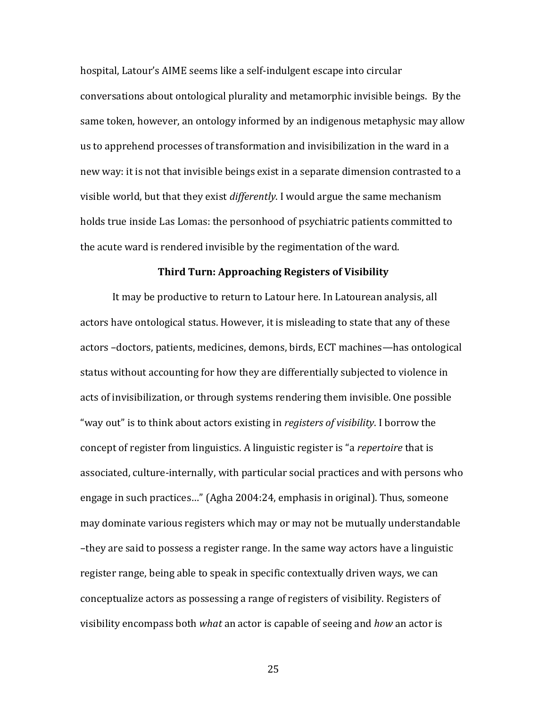hospital, Latour's AIME seems like a self-indulgent escape into circular conversations about ontological plurality and metamorphic invisible beings. By the same token, however, an ontology informed by an indigenous metaphysic may allow us to apprehend processes of transformation and invisibilization in the ward in a new way: it is not that invisible beings exist in a separate dimension contrasted to a visible world, but that they exist *differently*. I would argue the same mechanism holds true inside Las Lomas: the personhood of psychiatric patients committed to the acute ward is rendered invisible by the regimentation of the ward.

#### **Third Turn: Approaching Registers of Visibility**

It may be productive to return to Latour here. In Latourean analysis, all actors have ontological status. However, it is misleading to state that any of these actors –doctors, patients, medicines, demons, birds, ECT machines—has ontological status without accounting for how they are differentially subjected to violence in acts of invisibilization, or through systems rendering them invisible. One possible "way out" is to think about actors existing in *registers of visibility*. I borrow the concept of register from linguistics. A linguistic register is "a *repertoire* that is associated, culture-internally, with particular social practices and with persons who engage in such practices…" (Agha 2004:24, emphasis in original). Thus, someone may dominate various registers which may or may not be mutually understandable –they are said to possess a register range. In the same way actors have a linguistic register range, being able to speak in specific contextually driven ways, we can conceptualize actors as possessing a range of registers of visibility. Registers of visibility encompass both *what* an actor is capable of seeing and *how* an actor is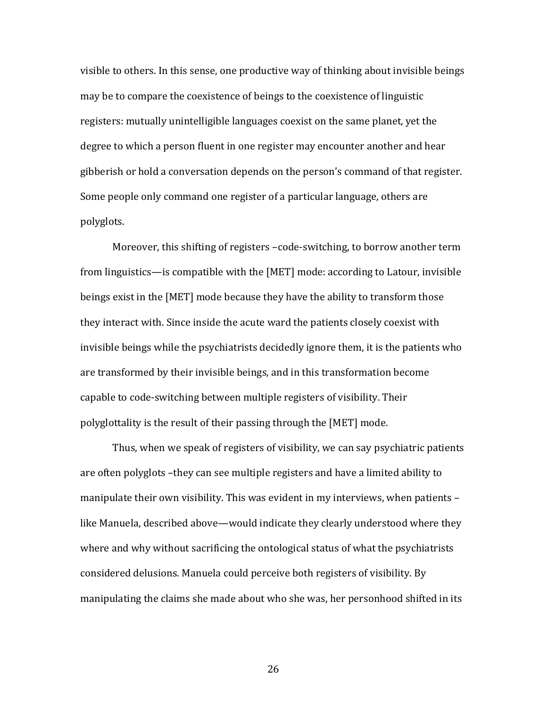visible to others. In this sense, one productive way of thinking about invisible beings may be to compare the coexistence of beings to the coexistence of linguistic registers: mutually unintelligible languages coexist on the same planet, yet the degree to which a person fluent in one register may encounter another and hear gibberish or hold a conversation depends on the person's command of that register. Some people only command one register of a particular language, others are polyglots.

Moreover, this shifting of registers –code-switching, to borrow another term from linguistics—is compatible with the [MET] mode: according to Latour, invisible beings exist in the [MET] mode because they have the ability to transform those they interact with. Since inside the acute ward the patients closely coexist with invisible beings while the psychiatrists decidedly ignore them, it is the patients who are transformed by their invisible beings, and in this transformation become capable to code-switching between multiple registers of visibility. Their polyglottality is the result of their passing through the [MET] mode.

Thus, when we speak of registers of visibility, we can say psychiatric patients are often polyglots –they can see multiple registers and have a limited ability to manipulate their own visibility. This was evident in my interviews, when patients – like Manuela, described above—would indicate they clearly understood where they where and why without sacrificing the ontological status of what the psychiatrists considered delusions. Manuela could perceive both registers of visibility. By manipulating the claims she made about who she was, her personhood shifted in its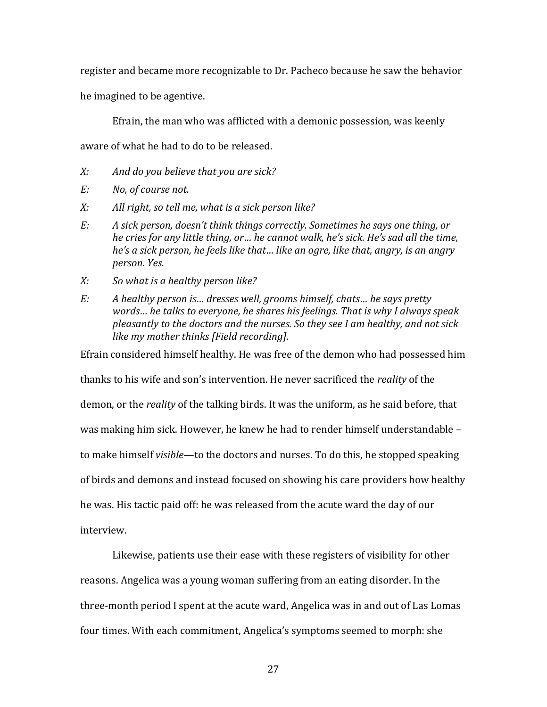register and became more recognizable to Dr. Pacheco because he saw the behavior

he imagined to be agentive.

Efrain, the man who was afflicted with a demonic possession, was keenly

aware of what he had to do to be released.

- *X: And do you believe that you are sick?*
- *E: No, of course not.*
- *X: All right, so tell me, what is a sick person like?*
- *E: A sick person, doesn't think things correctly. Sometimes he says one thing, or he cries for any little thing, or… he cannot walk, he's sick. He's sad all the time, he's a sick person, he feels like that… like an ogre, like that, angry, is an angry person. Yes.*
- *X: So what is a healthy person like?*
- *E: A healthy person is… dresses well, grooms himself, chats… he says pretty words… he talks to everyone, he shares his feelings. That is why I always speak pleasantly to the doctors and the nurses. So they see I am healthy, and not sick like my mother thinks [Field recording].*

Efrain considered himself healthy. He was free of the demon who had possessed him

thanks to his wife and son's intervention. He never sacrificed the *reality* of the demon, or the *reality* of the talking birds. It was the uniform, as he said before, that was making him sick. However, he knew he had to render himself understandable – to make himself *visible*—to the doctors and nurses. To do this, he stopped speaking of birds and demons and instead focused on showing his care providers how healthy he was. His tactic paid off: he was released from the acute ward the day of our

interview.

Likewise, patients use their ease with these registers of visibility for other reasons. Angelica was a young woman suffering from an eating disorder. In the three-month period I spent at the acute ward, Angelica was in and out of Las Lomas four times. With each commitment, Angelica's symptoms seemed to morph: she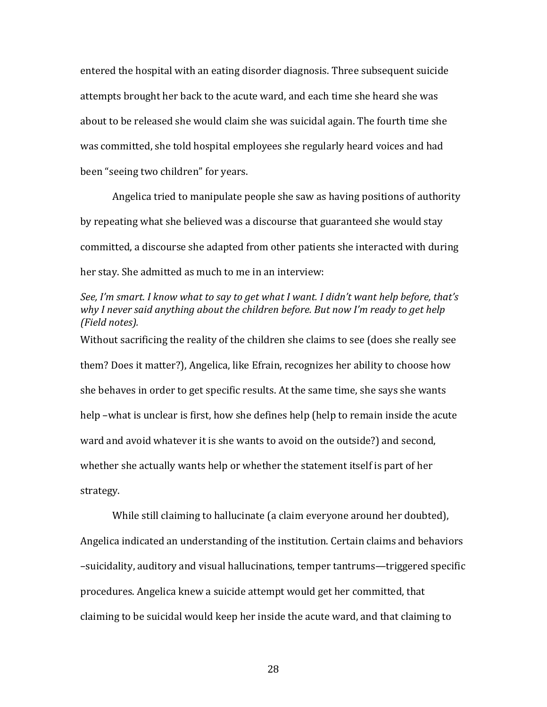entered the hospital with an eating disorder diagnosis. Three subsequent suicide attempts brought her back to the acute ward, and each time she heard she was about to be released she would claim she was suicidal again. The fourth time she was committed, she told hospital employees she regularly heard voices and had been "seeing two children" for years.

Angelica tried to manipulate people she saw as having positions of authority by repeating what she believed was a discourse that guaranteed she would stay committed, a discourse she adapted from other patients she interacted with during her stay. She admitted as much to me in an interview:

# *See, I'm smart. I know what to say to get what I want. I didn't want help before, that's why I never said anything about the children before. But now I'm ready to get help (Field notes).* Without sacrificing the reality of the children she claims to see (does she really see

them? Does it matter?), Angelica, like Efrain, recognizes her ability to choose how she behaves in order to get specific results. At the same time, she says she wants help –what is unclear is first, how she defines help (help to remain inside the acute ward and avoid whatever it is she wants to avoid on the outside?) and second, whether she actually wants help or whether the statement itself is part of her strategy.

While still claiming to hallucinate (a claim everyone around her doubted), Angelica indicated an understanding of the institution. Certain claims and behaviors –suicidality, auditory and visual hallucinations, temper tantrums—triggered specific procedures. Angelica knew a suicide attempt would get her committed, that claiming to be suicidal would keep her inside the acute ward, and that claiming to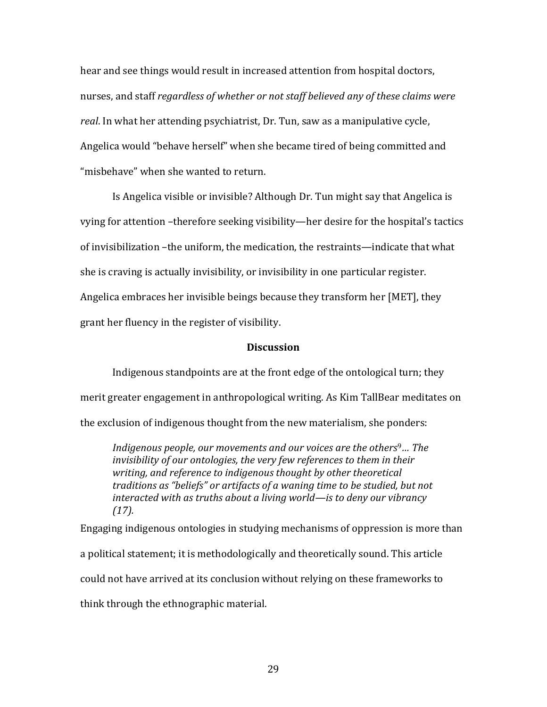hear and see things would result in increased attention from hospital doctors, nurses, and staff *regardless of whether or not staff believed any of these claims were real*. In what her attending psychiatrist, Dr. Tun, saw as a manipulative cycle, Angelica would "behave herself" when she became tired of being committed and "misbehave" when she wanted to return.

Is Angelica visible or invisible? Although Dr. Tun might say that Angelica is vying for attention –therefore seeking visibility—her desire for the hospital's tactics of invisibilization –the uniform, the medication, the restraints—indicate that what she is craving is actually invisibility, or invisibility in one particular register. Angelica embraces her invisible beings because they transform her [MET], they grant her fluency in the register of visibility.

#### **Discussion**

Indigenous standpoints are at the front edge of the ontological turn; they merit greater engagement in anthropological writing. As Kim TallBear meditates on the exclusion of indigenous thought from the new materialism, she ponders:

*Indigenous people, our movements and our voices are the others*9*… The invisibility of our ontologies, the very few references to them in their writing, and reference to indigenous thought by other theoretical traditions as "beliefs" or artifacts of a waning time to be studied, but not interacted with as truths about a living world—is to deny our vibrancy (17).*

Engaging indigenous ontologies in studying mechanisms of oppression is more than a political statement; it is methodologically and theoretically sound. This article could not have arrived at its conclusion without relying on these frameworks to think through the ethnographic material.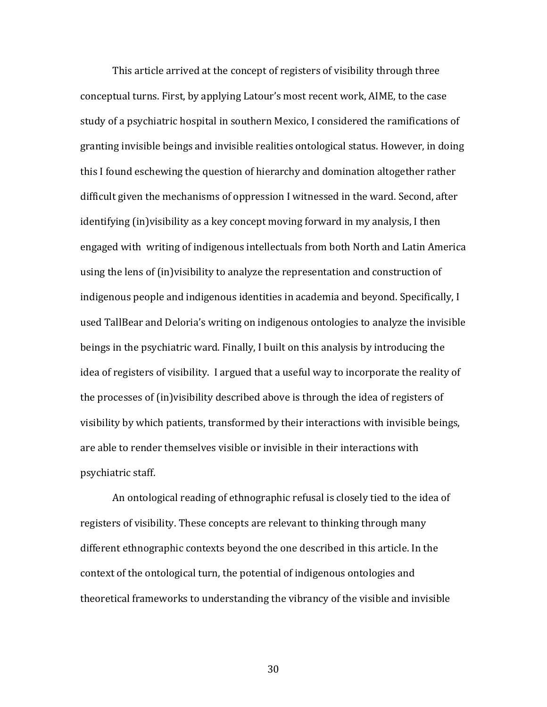This article arrived at the concept of registers of visibility through three conceptual turns. First, by applying Latour's most recent work, AIME, to the case study of a psychiatric hospital in southern Mexico, I considered the ramifications of granting invisible beings and invisible realities ontological status. However, in doing this I found eschewing the question of hierarchy and domination altogether rather difficult given the mechanisms of oppression I witnessed in the ward. Second, after identifying (in)visibility as a key concept moving forward in my analysis, I then engaged with writing of indigenous intellectuals from both North and Latin America using the lens of (in)visibility to analyze the representation and construction of indigenous people and indigenous identities in academia and beyond. Specifically, I used TallBear and Deloria's writing on indigenous ontologies to analyze the invisible beings in the psychiatric ward. Finally, I built on this analysis by introducing the idea of registers of visibility. I argued that a useful way to incorporate the reality of the processes of (in)visibility described above is through the idea of registers of visibility by which patients, transformed by their interactions with invisible beings, are able to render themselves visible or invisible in their interactions with psychiatric staff.

An ontological reading of ethnographic refusal is closely tied to the idea of registers of visibility. These concepts are relevant to thinking through many different ethnographic contexts beyond the one described in this article. In the context of the ontological turn, the potential of indigenous ontologies and theoretical frameworks to understanding the vibrancy of the visible and invisible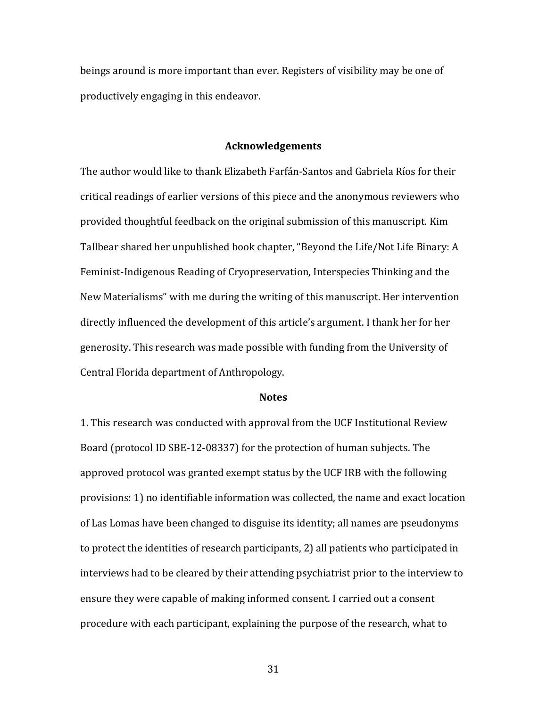beings around is more important than ever. Registers of visibility may be one of productively engaging in this endeavor.

#### **Acknowledgements**

The author would like to thank Elizabeth Farfán-Santos and Gabriela Ríos for their critical readings of earlier versions of this piece and the anonymous reviewers who provided thoughtful feedback on the original submission of this manuscript. Kim Tallbear shared her unpublished book chapter, "Beyond the Life/Not Life Binary: A Feminist-Indigenous Reading of Cryopreservation, Interspecies Thinking and the New Materialisms" with me during the writing of this manuscript. Her intervention directly influenced the development of this article's argument. I thank her for her generosity. This research was made possible with funding from the University of Central Florida department of Anthropology.

#### **Notes**

1. This research was conducted with approval from the UCF Institutional Review Board (protocol ID SBE-12-08337) for the protection of human subjects. The approved protocol was granted exempt status by the UCF IRB with the following provisions: 1) no identifiable information was collected, the name and exact location of Las Lomas have been changed to disguise its identity; all names are pseudonyms to protect the identities of research participants, 2) all patients who participated in interviews had to be cleared by their attending psychiatrist prior to the interview to ensure they were capable of making informed consent. I carried out a consent procedure with each participant, explaining the purpose of the research, what to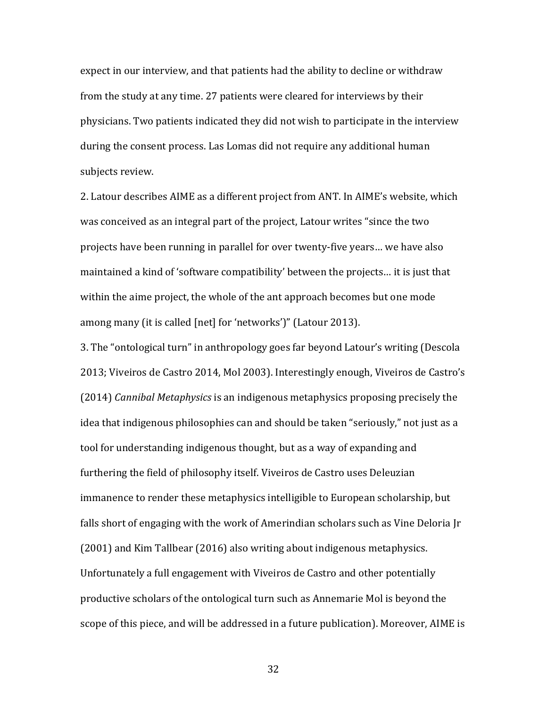expect in our interview, and that patients had the ability to decline or withdraw from the study at any time. 27 patients were cleared for interviews by their physicians. Two patients indicated they did not wish to participate in the interview during the consent process. Las Lomas did not require any additional human subjects review.

2. Latour describes AIME as a different project from ANT. In AIME's website, which was conceived as an integral part of the project, Latour writes "since the two projects have been running in parallel for over twenty-five years… we have also maintained a kind of 'software compatibility' between the projects… it is just that within the aime project, the whole of the ant approach becomes but one mode among many (it is called [net] for 'networks')" (Latour 2013).

3. The "ontological turn" in anthropology goes far beyond Latour's writing (Descola 2013; Viveiros de Castro 2014, Mol 2003). Interestingly enough, Viveiros de Castro's (2014) *Cannibal Metaphysics* is an indigenous metaphysics proposing precisely the idea that indigenous philosophies can and should be taken "seriously," not just as a tool for understanding indigenous thought, but as a way of expanding and furthering the field of philosophy itself. Viveiros de Castro uses Deleuzian immanence to render these metaphysics intelligible to European scholarship, but falls short of engaging with the work of Amerindian scholars such as Vine Deloria Jr (2001) and Kim Tallbear (2016) also writing about indigenous metaphysics. Unfortunately a full engagement with Viveiros de Castro and other potentially productive scholars of the ontological turn such as Annemarie Mol is beyond the scope of this piece, and will be addressed in a future publication). Moreover, AIME is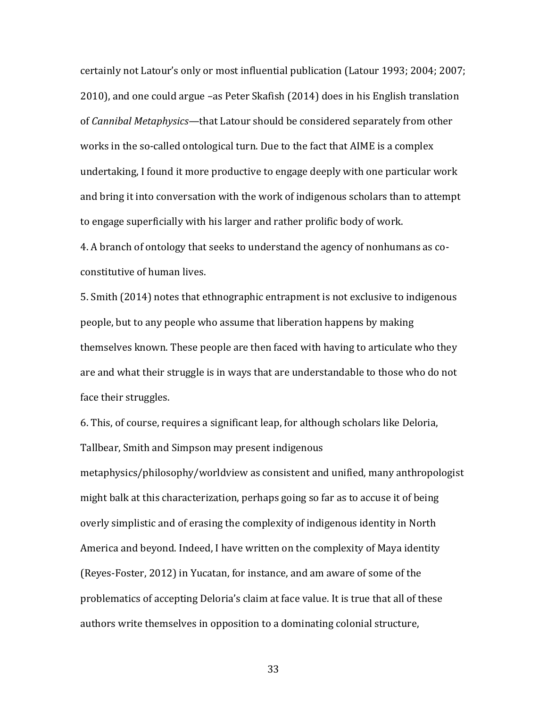certainly not Latour's only or most influential publication (Latour 1993; 2004; 2007; 2010), and one could argue –as Peter Skafish (2014) does in his English translation of *Cannibal Metaphysics—*that Latour should be considered separately from other works in the so-called ontological turn. Due to the fact that AIME is a complex undertaking, I found it more productive to engage deeply with one particular work and bring it into conversation with the work of indigenous scholars than to attempt to engage superficially with his larger and rather prolific body of work.

4. A branch of ontology that seeks to understand the agency of nonhumans as coconstitutive of human lives.

5. Smith (2014) notes that ethnographic entrapment is not exclusive to indigenous people, but to any people who assume that liberation happens by making themselves known. These people are then faced with having to articulate who they are and what their struggle is in ways that are understandable to those who do not face their struggles.

6. This, of course, requires a significant leap, for although scholars like Deloria, Tallbear, Smith and Simpson may present indigenous

metaphysics/philosophy/worldview as consistent and unified, many anthropologist might balk at this characterization, perhaps going so far as to accuse it of being overly simplistic and of erasing the complexity of indigenous identity in North America and beyond. Indeed, I have written on the complexity of Maya identity (Reyes-Foster, 2012) in Yucatan, for instance, and am aware of some of the problematics of accepting Deloria's claim at face value. It is true that all of these authors write themselves in opposition to a dominating colonial structure,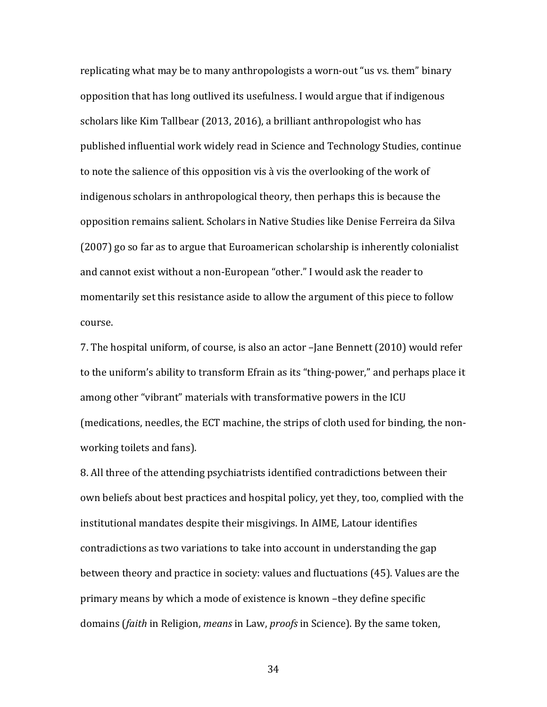replicating what may be to many anthropologists a worn-out "us vs. them" binary opposition that has long outlived its usefulness. I would argue that if indigenous scholars like Kim Tallbear (2013, 2016), a brilliant anthropologist who has published influential work widely read in Science and Technology Studies, continue to note the salience of this opposition vis à vis the overlooking of the work of indigenous scholars in anthropological theory, then perhaps this is because the opposition remains salient. Scholars in Native Studies like Denise Ferreira da Silva (2007) go so far as to argue that Euroamerican scholarship is inherently colonialist and cannot exist without a non-European "other." I would ask the reader to momentarily set this resistance aside to allow the argument of this piece to follow course.

7. The hospital uniform, of course, is also an actor –Jane Bennett (2010) would refer to the uniform's ability to transform Efrain as its "thing-power," and perhaps place it among other "vibrant" materials with transformative powers in the ICU (medications, needles, the ECT machine, the strips of cloth used for binding, the nonworking toilets and fans).

8. All three of the attending psychiatrists identified contradictions between their own beliefs about best practices and hospital policy, yet they, too, complied with the institutional mandates despite their misgivings. In AIME, Latour identifies contradictions as two variations to take into account in understanding the gap between theory and practice in society: values and fluctuations (45). Values are the primary means by which a mode of existence is known –they define specific domains (*faith* in Religion, *means* in Law, *proofs* in Science). By the same token,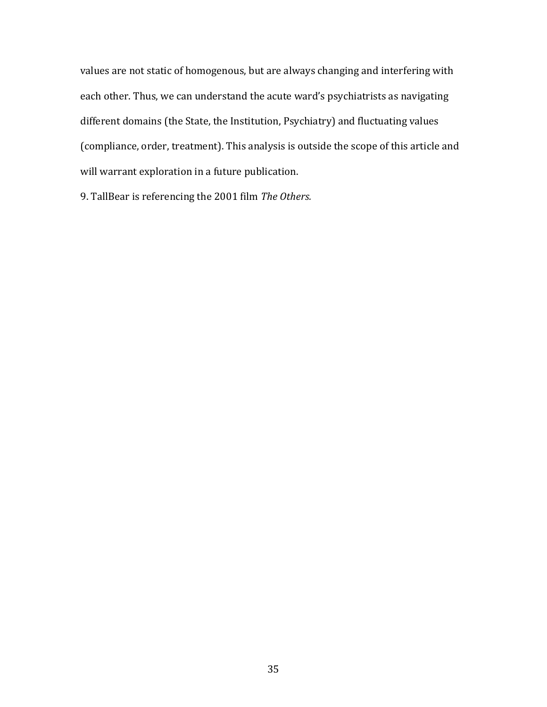values are not static of homogenous, but are always changing and interfering with each other. Thus, we can understand the acute ward's psychiatrists as navigating different domains (the State, the Institution, Psychiatry) and fluctuating values (compliance, order, treatment). This analysis is outside the scope of this article and will warrant exploration in a future publication.

9. TallBear is referencing the 2001 film *The Others.*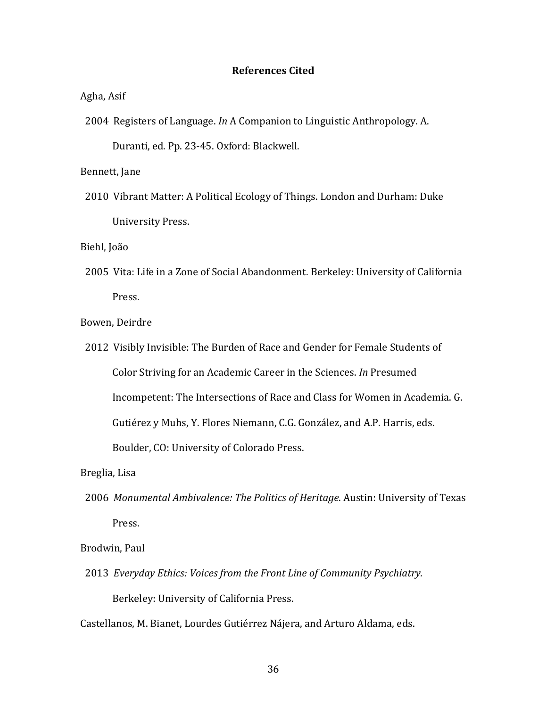# **References Cited**

Agha, Asif

 2004 Registers of Language. *In* A Companion to Linguistic Anthropology. A. Duranti, ed. Pp. 23-45. Oxford: Blackwell.

Bennett, Jane

 2010 Vibrant Matter: A Political Ecology of Things. London and Durham: Duke University Press.

Biehl, João

 2005 Vita: Life in a Zone of Social Abandonment. Berkeley: University of California Press.

Bowen, Deirdre

 2012 Visibly Invisible: The Burden of Race and Gender for Female Students of Color Striving for an Academic Career in the Sciences. *In* Presumed Incompetent: The Intersections of Race and Class for Women in Academia. G. Gutiérez y Muhs, Y. Flores Niemann, C.G. González, and A.P. Harris, eds. Boulder, CO: University of Colorado Press.

Breglia, Lisa

 2006 *Monumental Ambivalence: The Politics of Heritage*. Austin: University of Texas Press.

Brodwin, Paul

 2013 *Everyday Ethics: Voices from the Front Line of Community Psychiatry.*  Berkeley: University of California Press.

Castellanos, M. Bianet, Lourdes Gutiérrez Nájera, and Arturo Aldama, eds.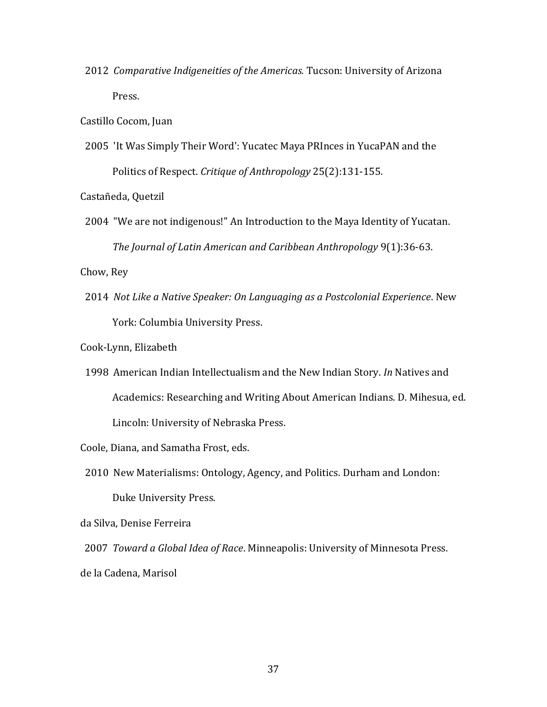- 2012 *Comparative Indigeneities of the Americas.* Tucson: University of Arizona Press.
- Castillo Cocom, Juan
- 2005 'It Was Simply Their Word': Yucatec Maya PRInces in YucaPAN and the Politics of Respect. *Critique of Anthropology* 25(2):131-155.

Castañeda, Quetzil

 2004 "We are not indigenous!" An Introduction to the Maya Identity of Yucatan. *The Journal of Latin American and Caribbean Anthropology* 9(1):36-63.

Chow, Rey

 2014 *Not Like a Native Speaker: On Languaging as a Postcolonial Experience*. New York: Columbia University Press.

Cook-Lynn, Elizabeth

 1998 American Indian Intellectualism and the New Indian Story. *In* Natives and Academics: Researching and Writing About American Indians. D. Mihesua, ed. Lincoln: University of Nebraska Press.

Coole, Diana, and Samatha Frost, eds.

 2010 New Materialisms: Ontology, Agency, and Politics. Durham and London: Duke University Press.

da Silva, Denise Ferreira

2007 *Toward a Global Idea of Race*. Minneapolis: University of Minnesota Press. de la Cadena, Marisol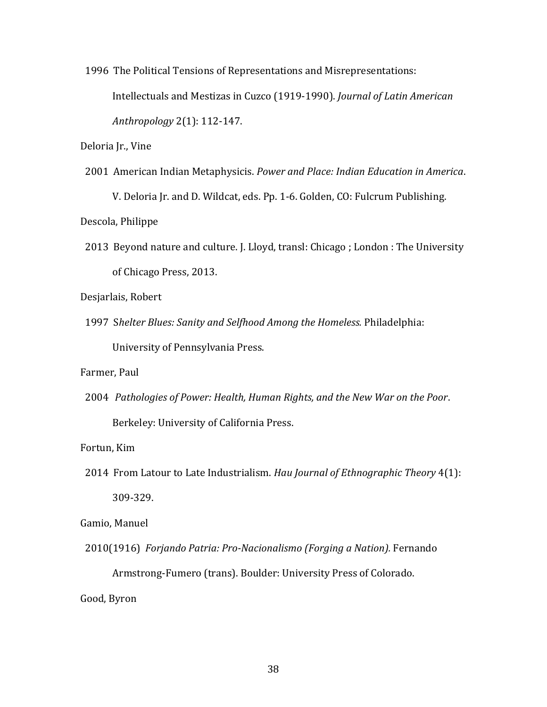1996 The Political Tensions of Representations and Misrepresentations:

Intellectuals and Mestizas in Cuzco (1919-1990). *Journal of Latin American* 

*Anthropology* 2(1): 112-147.

- Deloria Jr., Vine
- 2001 American Indian Metaphysicis. *Power and Place: Indian Education in America*.

V. Deloria Jr. and D. Wildcat, eds. Pp. 1-6. Golden, CO: Fulcrum Publishing.

Descola, Philippe

 2013 Beyond nature and culture. J. Lloyd, transl: Chicago ; London : The University of Chicago Press, 2013.

Desjarlais, Robert

 1997 S*helter Blues: Sanity and Selfhood Among the Homeless.* Philadelphia: University of Pennsylvania Press.

Farmer, Paul

 2004 *Pathologies of Power: Health, Human Rights, and the New War on the Poor*. Berkeley: University of California Press.

Fortun, Kim

 2014 From Latour to Late Industrialism. *Hau Journal of Ethnographic Theory* 4(1): 309-329.

Gamio, Manuel

 2010(1916) *Forjando Patria: Pro-Nacionalismo (Forging a Nation).* Fernando Armstrong-Fumero (trans). Boulder: University Press of Colorado.

Good, Byron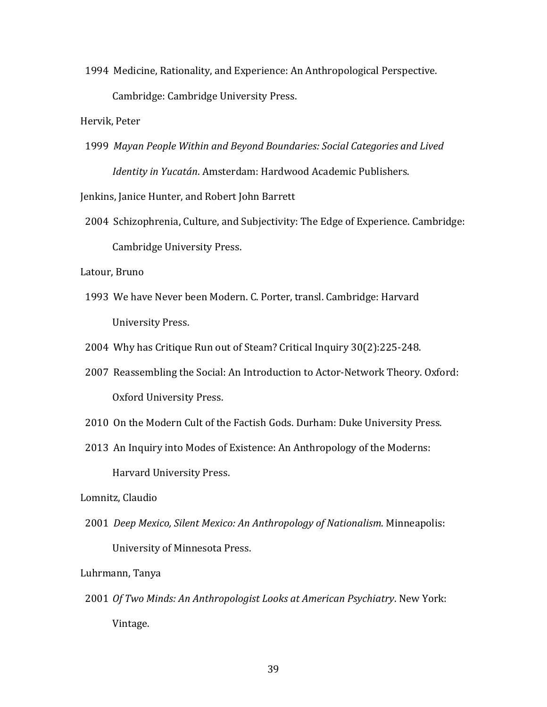- 1994 Medicine, Rationality, and Experience: An Anthropological Perspective. Cambridge: Cambridge University Press.
- Hervik, Peter
- 1999 *Mayan People Within and Beyond Boundaries: Social Categories and Lived Identity in Yucatán*. Amsterdam: Hardwood Academic Publishers.

Jenkins, Janice Hunter, and Robert John Barrett

 2004 Schizophrenia, Culture, and Subjectivity: The Edge of Experience. Cambridge: Cambridge University Press.

Latour, Bruno

- 1993 We have Never been Modern. C. Porter, transl. Cambridge: Harvard University Press.
- 2004 Why has Critique Run out of Steam? Critical Inquiry 30(2):225-248.
- 2007 Reassembling the Social: An Introduction to Actor-Network Theory. Oxford: Oxford University Press.
- 2010 On the Modern Cult of the Factish Gods. Durham: Duke University Press.
- 2013 An Inquiry into Modes of Existence: An Anthropology of the Moderns: Harvard University Press.

Lomnitz, Claudio

 2001 *Deep Mexico, Silent Mexico: An Anthropology of Nationalism*. Minneapolis: University of Minnesota Press.

Luhrmann, Tanya

 2001 *Of Two Minds: An Anthropologist Looks at American Psychiatry*. New York: Vintage.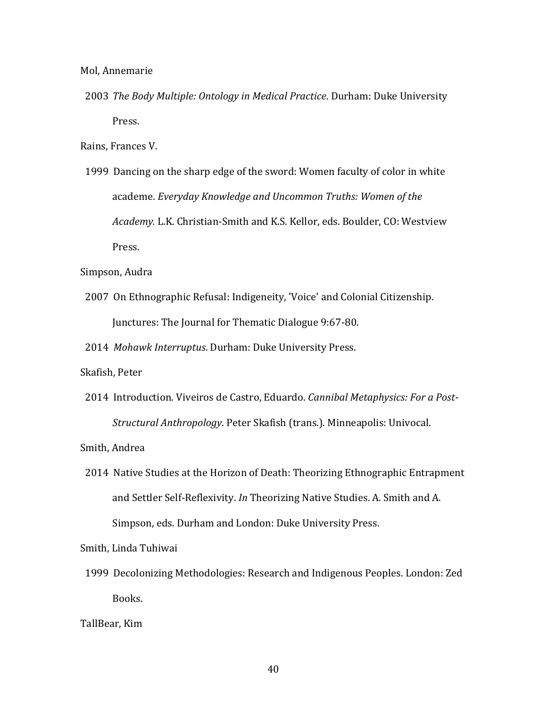Mol, Annemarie

- 2003 *The Body Multiple: Ontology in Medical Practice*. Durham: Duke University Press.
- Rains, Frances V.
- 1999 Dancing on the sharp edge of the sword: Women faculty of color in white academe. *Everyday Knowledge and Uncommon Truths: Women of the Academy.* L.K. Christian-Smith and K.S. Kellor, eds. Boulder, CO: Westview Press.

Simpson, Audra

 2007 On Ethnographic Refusal: Indigeneity, 'Voice' and Colonial Citizenship. Junctures: The Journal for Thematic Dialogue 9:67-80.

2014 *Mohawk Interruptus*. Durham: Duke University Press.

Skafish, Peter

 2014 Introduction. Viveiros de Castro, Eduardo. *Cannibal Metaphysics: For a Post-Structural Anthropology*. Peter Skafish (trans.). Minneapolis: Univocal.

Smith, Andrea

 2014 Native Studies at the Horizon of Death: Theorizing Ethnographic Entrapment and Settler Self-Reflexivity. *In* Theorizing Native Studies. A. Smith and A. Simpson, eds. Durham and London: Duke University Press.

Smith, Linda Tuhiwai

 1999 Decolonizing Methodologies: Research and Indigenous Peoples. London: Zed Books.

TallBear, Kim